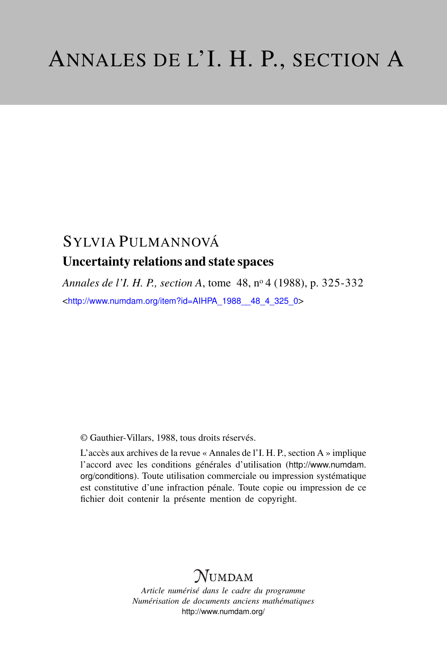## SYLVIA PULMANNOVÁ Uncertainty relations and state spaces

*Annales de l'I. H. P., section A*, tome 48, n<sup>o</sup> 4 (1988), p. 325-332 <[http://www.numdam.org/item?id=AIHPA\\_1988\\_\\_48\\_4\\_325\\_0](http://www.numdam.org/item?id=AIHPA_1988__48_4_325_0)>

© Gauthier-Villars, 1988, tous droits réservés.

L'accès aux archives de la revue « Annales de l'I. H. P., section A » implique l'accord avec les conditions générales d'utilisation ([http://www.numdam.](http://www.numdam.org/conditions) [org/conditions](http://www.numdam.org/conditions)). Toute utilisation commerciale ou impression systématique est constitutive d'une infraction pénale. Toute copie ou impression de ce fichier doit contenir la présente mention de copyright.

# $N$ UMDAM

*Article numérisé dans le cadre du programme Numérisation de documents anciens mathématiques* <http://www.numdam.org/>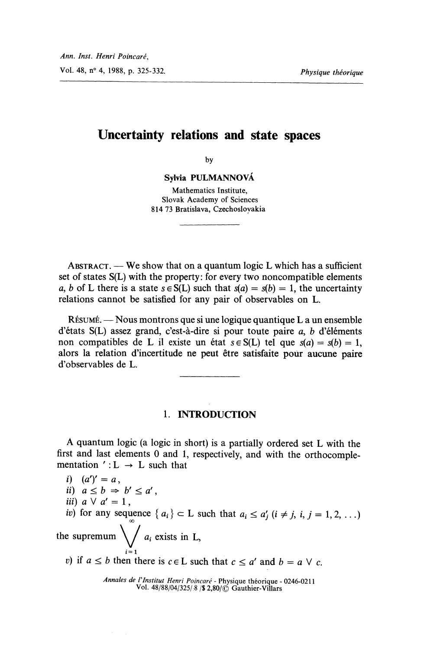### Uncertainty relations and state spaces

by

Sylvia PULMANNOVÁ

Mathematics Institute, Slovak Academy of Sciences 814 73 Bratislava, Czechoslovakia

ABSTRACT.  $\rightarrow$  We show that on a quantum logic L which has a sufficient set of states S(L) with the property : for every two noncompatible elements a, b of L there is a state  $s \in S(L)$  such that  $s(a) = s(b) = 1$ , the uncertainty relations cannot be satisfied for any pair of observables on L.

 $R$ ÉSUMÉ. — Nous montrons que si une logique quantique L a un ensemble d'états  $S(L)$  assez grand, c'est-à-dire si pour toute paire a, b d'éléments non compatibles de L il existe un état  $s \in S(L)$  tel que  $s(a) = s(b) = 1$ , alors la relation d'incertitude ne peut être satisfaite pour aucune paire d'observables de L.

#### 1. INTRODUCTION

A quantum logic (a logic in short) is a partially ordered set L with the first and last elements 0 and 1, respectively, and with the orthocomplementation ': L  $\rightarrow$  L such that

i)  $(a')' = a$ , ii)  $a \leq b \Rightarrow b' \leq a'$ , iii)  $a \vee a' = 1$ , iv) for any sequence  $\{a_i\} \subset L$  such that  $a_i \le a'_j$   $(i \ne j, i, j = 1, 2, ...)$ the supremum  $\bigvee a_i$  exists in L, v) if  $a \leq b$  then there is  $c \in L$  such that  $c \leq a'$  and  $b = a \vee c$ .

Annales de l'Institut Henri Poincaré - Physique théorique - 0246-0211 Vol. 48/88/04/325/8 /\$2,80/ $\odot$  Gauthier-Villars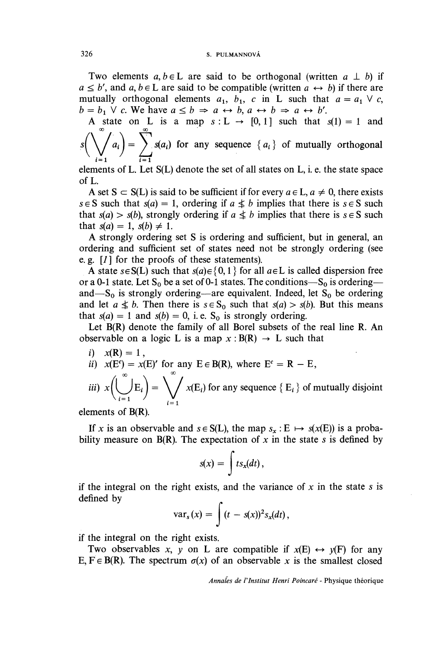Two elements  $a, b \in L$  are said to be orthogonal (written  $a \perp b$ ) if  $a \leq b'$ , and  $a, b \in L$  are said to be compatible (written  $a \leftrightarrow b$ ) if there are mutually orthogonal elements  $a_1$ ,  $b_1$ , c in L such that  $a = a_1 \vee c$ ,  $b = b_1$   $\vee$  c. We have  $a \le b \Rightarrow a \leftrightarrow b$ ,  $a \leftrightarrow b \Rightarrow a \leftrightarrow b'$ .

A state on L is a map  $s: L \rightarrow [0, 1]$  such that  $s(1) = 1$  and the on L is a manufacture of  $\sum_{n=0}^{\infty}$ 

 $\sum s(a_i)$  for any sequence  $\{a_i\}$  of mutually orthogonal  $i=1$   $i=1$ 

elements of L. Let S(L) denote the set of all states on L, i. e. the state space of L.

A set  $S \subset S(L)$  is said to be sufficient if for every  $a \in L$ ,  $a \neq 0$ , there exists  $s \in S$  such that  $s(a) = 1$ , ordering if  $a \leq b$  implies that there is  $s \in S$  such that  $s(a) > s(b)$ , strongly ordering if  $a \nleq b$  implies that there is  $s \in S$  such that  $s(a) = 1$ ,  $s(b) \neq 1$ .

A strongly ordering set S is ordering and sufficient, but in general, an ordering and sufficient set of states need not be strongly ordering (see e. g.  $[1]$  for the proofs of these statements).

A state  $s \in S(L)$  such that  $s(a) \in \{0, 1\}$  for all  $a \in L$  is called dispersion free or a 0-1 state. Let  $S_0$  be a set of 0-1 states. The conditions— $S_0$  is ordering and—S<sub>0</sub> is strongly ordering—are equivalent. Indeed, let S<sub>0</sub> be ordering and let  $a \nleq b$ . Then there is  $s \in S_0$  such that  $s(a) > s(b)$ . But this means that  $s(a) = 1$  and  $s(b) = 0$ , i.e. S<sub>0</sub> is strongly ordering.

Let B(R) denote the family of all Borel subsets of the real line R. An observable on a logic L is a map  $x : B(R) \to L$  such that

*i)* 
$$
x(\mathbf{R}) = 1
$$
,  
\n*ii)*  $x(\mathbf{E}^c) = x(\mathbf{E})'$  for any  $\mathbf{E} \in B(\mathbf{R})$ , where  $\mathbf{E}^c = \mathbf{R} - \mathbf{E}$ ,  
\n*iii)*  $x\left(\bigcup_{i=1}^{\infty} \mathbf{E}_i\right) = \bigvee_{i=1}^{\infty} x(\mathbf{E}_i)$  for any sequence  $\{\mathbf{E}_i\}$  of mutually disjoint

elements of B(R).

If x is an observable and  $s \in S(L)$ , the map  $s_x : E \mapsto s(x(E))$  is a probability measure on  $B(R)$ . The expectation of x in the state s is defined by

$$
s(x) = \int t s_x(dt),
$$

if the integral on the right exists, and the variance of x in the state s is defined by

$$
var_s(x) = \int (t - s(x))^2 s_x(dt),
$$

if the integral on the right exists.

Two observables x, y on L are compatible if  $x(E) \leftrightarrow y(F)$  for any E,  $F \in B(R)$ . The spectrum  $\sigma(x)$  of an observable x is the smallest closed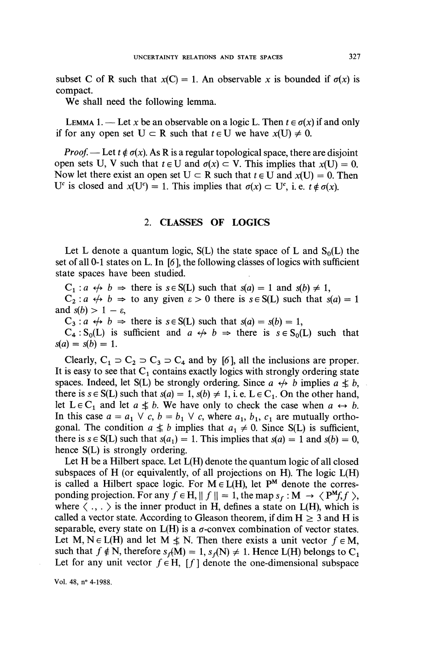subset C of R such that  $x(C) = 1$ . An observable x is bounded if  $\sigma(x)$  is compact.

We shall need the following lemma.

LEMMA 1. — Let x be an observable on a logic L. Then  $t \in \sigma(x)$  if and only if for any open set  $U \subset R$  such that  $t \in U$  we have  $x(U) \neq 0$ .

*Proof.* — Let  $t \notin \sigma(x)$ . As R is a regular topological space, there are disjoint open sets U, V such that  $t \in U$  and  $\sigma(x) \subset V$ . This implies that  $x(U) = 0$ . Now let there exist an open set  $U \subset R$  such that  $t \in U$  and  $x(U) = 0$ . Then U<sup>c</sup> is closed and  $x(U^c) = 1$ . This implies that  $\sigma(x) \subset U^c$ , i. e.  $t \notin \sigma(x)$ .

#### 2. CLASSES OF LOGICS

Let L denote a quantum logic,  $S(L)$  the state space of L and  $S<sub>0</sub>(L)$  the set of all 0-1 states on L. In [6], the following classes of logics with sufficient state spaces have been studied.

 $C_1$ :  $a \leftrightarrow b \Rightarrow$  there is  $s \in S(L)$  such that  $s(a) = 1$  and  $s(b) \neq 1$ ,

 $C_2$ :  $a \leftrightarrow b \Rightarrow$  to any given  $\varepsilon > 0$  there is  $s \in S(L)$  such that  $s(a) = 1$ and  $s(b) > 1 - \varepsilon$ ,

 $C_3$ :  $a \leftrightarrow b \Rightarrow$  there is  $s \in S(L)$  such that  $s(a) = s(b) = 1$ ,

 $C_4$ :  $S_0(L)$  is sufficient and  $a \leftrightarrow b \Rightarrow$  there is  $s \in S_0(L)$  such that  $s(a) = s(b) = 1.$ 

Clearly,  $C_1 \supset C_2 \supset C_3 \supset C_4$  and by [6], all the inclusions are proper. It is easy to see that  $C_1$  contains exactly logics with strongly ordering state spaces. Indeed, let S(L) be strongly ordering. Since  $a \leftrightarrow b$  implies  $a \not\leq b$ , there is  $s \in S(L)$  such that  $s(a) = 1$ ,  $s(b) \neq 1$ , i. e.  $L \in C_1$ . On the other hand, let  $L \in C_1$  and let  $a \nleq b$ . We have only to check the case when  $a \leftrightarrow b$ . In this case  $a = a_1 \vee c$ ,  $b = b_1 \vee c$ , where  $a_1, b_1, c_1$  are mutually orthogonal. The condition  $a \leq b$  implies that  $a_1 \neq 0$ . Since S(L) is sufficient, there is  $s \in S(L)$  such that  $s(a_1) = 1$ . This implies that  $s(a) = 1$  and  $s(b) = 0$ . hence S(L) is strongly ordering.

Let H be a Hilbert space. Let L(H) denote the quantum logic of all closed subspaces of H (or equivalently, of all projections on H). The logic  $L(H)$ is called a Hilbert space logic. For  $M \in L(H)$ , let  $P^M$  denote the corresponding projection. For any  $f \in H$ ,  $|| f || = 1$ , the map  $s_f : M \to \langle P^M f, f \rangle$ , where  $\langle ., . \rangle$  is the inner product in H, defines a state on L(H), which is called a vector state. According to Gleason theorem, if dim  $H \geq 3$  and H is separable, every state on  $L(H)$  is a  $\sigma$ -convex combination of vector states. Let M, N  $\in$  L(H) and let M  $\leq$  N. Then there exists a unit vector  $f \in M$ , such that  $f \notin N$ , therefore  $s_f(M) = 1$ ,  $s_f(N) \neq 1$ . Hence L(H) belongs to C<sub>1</sub> Let for any unit vector  $f \in H$ ,  $\lceil f \rceil$  denote the one-dimensional subspace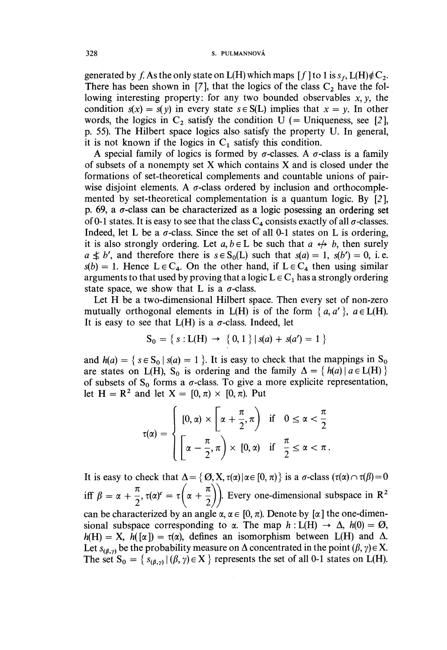generated by f. As the only state on L(H) which maps  $f \mid$  to 1 is  $s_f$ , L(H) $\notin C_2$ . There has been shown in [7], that the logics of the class  $C_2$  have the following interesting property: for any two bounded observables  $x, y$ , the condition  $s(x) = s(y)$  in every state  $s \in S(L)$  implies that  $x = y$ . In other words, the logics in  $C_2$  satisfy the condition U (= Uniqueness, see [2], p. 55). The Hilbert space logics also satisfy the property U. In general, it is not known if the logics in  $C_1$  satisfy this condition.

A special family of logics is formed by  $\sigma$ -classes. A  $\sigma$ -class is a family of subsets of a nonempty set  $X$  which contains  $X$  and is closed under the formations of set-theoretical complements and countable unions of pairwise disjoint elements. A  $\sigma$ -class ordered by inclusion and orthocomplemented by set-theoretical complementation is a quantum logic. By [2], p. 69, a  $\sigma$ -class can be characterized as a logic posessing an ordering set of 0-1 states. It is easy to see that the class  $C_4$  consists exactly of all  $\sigma$ -classes. Indeed, let L be a  $\sigma$ -class. Since the set of all 0-1 states on L is ordering, it is also strongly ordering. Let  $a, b \in L$  be such that  $a \leftrightarrow b$ , then surely  $a \not\leq b'$ , and therefore there is  $s \in S_0(L)$  such that  $s(a) = 1$ ,  $s(b') = 0$ , i. e.  $s(b) = 1$ . Hence  $L \in C_4$ . On the other hand, if  $L \in C_4$  then using similar arguments to that used by proving that a logic  $L \in C_1$  has a strongly ordering state space, we show that L is a  $\sigma$ -class.

Let H be a two-dimensional Hilbert space. Then every set of non-zero mutually orthogonal elements in L(H) is of the form  ${a, a', a \in L(H)}$ . It is easy to see that  $L(H)$  is a  $\sigma$ -class. Indeed, let

$$
S_0 = \{ s : L(H) \to \{ 0, 1 \} | s(a) + s(a') = 1 \}
$$

and  $h(a) = \{ s \in S_0 | s(a) = 1 \}$ . It is easy to check that the mappings in  $S_0$ are states on L(H), S<sub>0</sub> is ordering and the family  $\Delta = \{h(a) | a \in L(H)\}\$ of subsets of  $S_0$  forms a  $\sigma$ -class. To give a more explicite representation, let H =  $\mathbb{R}^2$  and let X =  $[0, \pi) \times [0, \pi)$ . Put

$$
\tau(\alpha) = \begin{cases} [0, \alpha) \times \left[ \alpha + \frac{\pi}{2}, \pi \right) & \text{if } 0 \leq \alpha < \frac{\pi}{2} \\ \left[ \alpha - \frac{\pi}{2}, \pi \right) \times [0, \alpha) & \text{if } \frac{\pi}{2} \leq \alpha < \pi. \end{cases}
$$

It is easy to check that  $\Delta = \{ \emptyset, X, \tau(\alpha) | \alpha \in [0, \pi) \}$  is a  $\sigma$ -class  $(\tau(\alpha) \cap \tau(\beta) = 0$ iff  $\beta = \alpha + \frac{\pi}{2}$ ,  $\tau(\alpha)^c = \tau(\alpha + \frac{\pi}{2})$ . Every one-dimensional subspace in R<sup>2</sup> can be characterized by an angle  $\alpha, \alpha \in [0, \pi)$ . Denote by [ $\alpha$ ] the one-dimen-

sional subspace corresponding to  $\alpha$ . The map  $h : L(H) \rightarrow \Delta$ ,  $h(0) = \emptyset$ ,  $h(H) = X$ ,  $h([\alpha]) = \tau(\alpha)$ , defines an isomorphism between L(H) and  $\Delta$ . Let  $s_{(\beta, \gamma)}$  be the probability measure on  $\Delta$  concentrated in the point  $(\beta, \gamma) \in X$ . The set  $S_0 = \{ s_{(\beta, \gamma)} | (\beta, \gamma) \in X \}$  represents the set of all 0-1 states on L(H).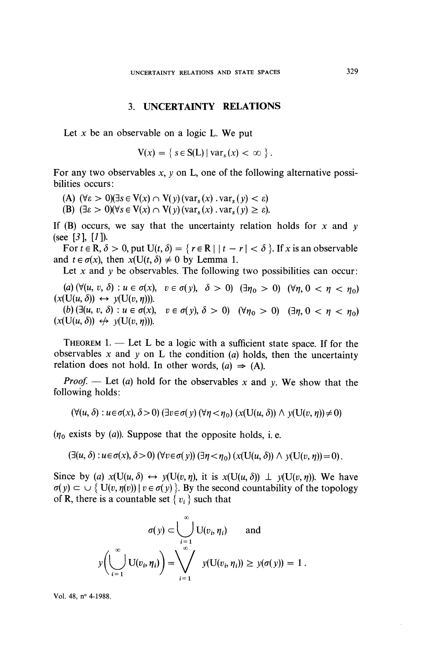#### 3. UNCERTAINTY RELATIONS

Let  $x$  be an observable on a logic L. We put

$$
V(x) = \{ s \in S(L) | \text{var}_s(x) < \infty \}.
$$

For any two observables x, y on L, one of the following alternative possibilities occurs:

(A)  $(\forall \varepsilon > 0)(\exists s \in V(x) \cap V(y)(var_s(x) \cdot var_s(y)) < \varepsilon)$ 

(B)  $(\exists \varepsilon > 0)(\forall s \in V(x) \cap V(y))$  (var, (x)  $\exists s \in V(x) \geq \varepsilon$ ).

If (B) occurs, we say that the uncertainty relation holds for x and y (see [3],  $[1]$ ).

For  $t \in \mathbb{R}, \delta > 0$ , put  $U(t, \delta) = \{r \in \mathbb{R} \mid |t - r| < \delta\}.$  If x is an observable and  $t \in \sigma(x)$ , then  $x(U(t, \delta) \neq 0$  by Lemma 1.

Let x and y be observables. The following two possibilities can occur:

(a)  $(\forall (u, v, \delta) : u \in \sigma(x), v \in \sigma(y), \delta > 0)$   $(\exists \eta_0 > 0)$   $(\forall \eta, 0 < \eta < \eta_0)$  $(x(U(u, \delta)) \leftrightarrow y(U(v, \eta))).$ (b)  $(\exists (u, v, \delta) : u \in \sigma(x), v \in \sigma(y), \delta > 0)$   $(\forall \eta_0 > 0)$   $(\exists \eta, 0 < \eta < \eta_0)$  $(x(U(u, \delta)) \leftrightarrow y(U(v, \eta)))$ .

THEOREM 1.  $-$  Let L be a logic with a sufficient state space. If for the observables x and y on L the condition (a) holds, then the uncertainty relation does not hold. In other words,  $(a) \Rightarrow (A)$ .

*Proof.* — Let (a) hold for the observables x and y. We show that the following holds:

$$
(\forall (u, \delta) : u \in \sigma(x), \delta > 0) (\exists v \in \sigma(y) (\forall \eta < \eta_0) (x(U(u, \delta)) \land y(U(v, \eta)) \neq 0)
$$

 $(\eta_0$  exists by (a)). Suppose that the opposite holds, i.e.

 $(\exists (u, \delta) : u \in \sigma(x), \delta > 0)$   $(\forall v \in \sigma(y))$   $(\exists \eta < \eta_0)$   $(x(U(u, \delta)) \wedge y(U(v, \eta)) = 0)$ .

Since by (a)  $x(U(u, \delta) \leftrightarrow y(U(v, \eta))$ , it is  $x(U(u, \delta)) \perp y(U(v, \eta))$ . We have  $\sigma(y) \subset \bigcup \{ U(v, \eta(v)) \mid v \in \sigma(y) \}$ . By the second countability of the topology of R, there is a countable set  $\{v_i\}$  such that

$$
\sigma(y) \subset \bigcup_{i=1}^{\infty} U(v_i, \eta_i) \quad \text{and}
$$

$$
y\left(\bigcup_{i=1}^{\infty} U(v_i, \eta_i)\right) = \bigvee_{i=1}^{\infty} y(U(v_i, \eta_i)) \ge y(\sigma(y)) = 1
$$

Vol. 48, n° 4-1988.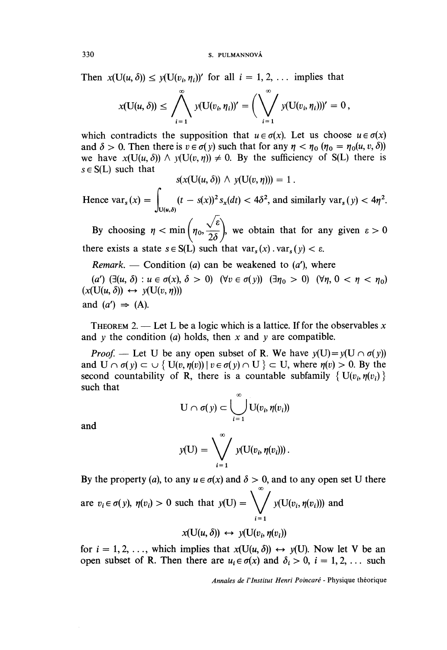Then  $x(U(u, \delta)) \leq y(U(v_i, \eta_i))'$  for all  $i = 1, 2, \ldots$  implies that

$$
x(\mathbf{U}(u,\delta)) \leq \bigwedge_{i=1}^{\infty} y(\mathbf{U}(v_i,\eta_i))' = \bigg(\bigvee_{i=1}^{\infty} y(\mathbf{U}(v_i,\eta_i)))' = 0,
$$

which contradicts the supposition that  $u \in \sigma(x)$ . Let us choose  $u \in \sigma(x)$ and  $\delta > 0$ . Then there is  $v \in \sigma(v)$  such that for any  $\eta < \eta_0$  ( $\eta_0 = \eta_0(u, v, \delta)$ ) we have  $x(U(u, \delta)) \wedge y(U(v, \eta)) \neq 0$ . By the sufficiency of S(L) there is  $s \in S(L)$  such that

 $s(x(U(u, \delta)) \wedge v(U(v, \eta))) = 1$ .

Hence  $\text{var}_s(x) = \int_{\prod(u, \delta)} (t - s(x))^2 s_x(dt) < 4\delta^2$ , and similarly  $\text{var}_s(y) < 4\eta^2$ .  $JU(u,o)$ 

By choosing  $\eta < \min\left(\eta_0, \frac{\tau}{2\delta}\right)$ , we obtain that for any given  $\varepsilon > 0$ there exists a state  $s \in S(L)$  such that var,  $(x)$  . var,  $(y) < \varepsilon$ .

Remark. — Condition (a) can be weakened to  $(a')$ , where

(a')  $(\exists (u, \delta) : u \in \sigma(x), \delta > 0)$   $(\forall v \in \sigma(y))$   $(\exists \eta_0 > 0)$   $(\forall \eta, 0 < \eta < \eta_0)$  $(x(U(u, \delta)) \leftrightarrow y(U(v, \eta)))$ and  $(a') \Rightarrow (A)$ .

THEOREM 2. — Let L be a logic which is a lattice. If for the observables x and  $y$  the condition (a) holds, then x and y are compatible.

*Proof.* — Let U be any open subset of R. We have  $y(U) = y(U \cap \sigma(y))$ and  $U \cap \sigma(y) \subset \bigcup \{ U(v, \eta(v)) \mid v \in \sigma(y) \cap U \} \subset U$ , where  $\eta(v) > 0$ . By the second countability of R, there is a countable subfamily  $\{U(v_i, \eta(v_i)\})$ such that

$$
U \cap \sigma(y) \subset \bigcup_{i=1}^{\infty} U(v_i, \eta(v_i))
$$

and

$$
y(\mathbf{U}) = \bigvee_{i=1}^{\infty} y(\mathbf{U}(v_i, \eta(v_i))).
$$

By the property (*a*), to any  $u \in \sigma(x)$  and  $\delta > 0$ , and to any open set U there

are  $v_i \in \sigma(y)$ ,  $\eta(v_i) > 0$  such that  $y(U) = \bigvee_{i=1}^{\infty} y(U(v_i, \eta(v_i)))$  and

$$
x(\mathbf{U}(u, \delta)) \leftrightarrow y(\mathbf{U}(v_i, \eta(v_i)))
$$

for  $i = 1, 2, \ldots$ , which implies that  $x(U(u, \delta)) \leftrightarrow y(U)$ . Now let V be an open subset of R. Then there are  $u_i \in \sigma(x)$  and  $\delta_i > 0$ ,  $i = 1, 2, \ldots$  such

Annales de l'Institut Henri Poincaré - Physique theorique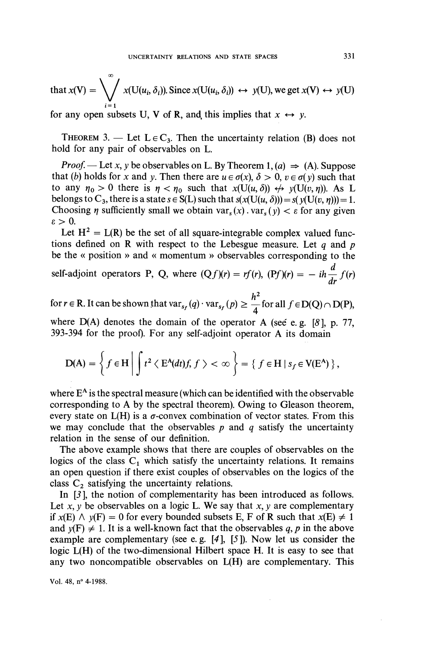that 
$$
x(V) = \bigvee_{i=1}^{\infty} x(U(u_i, \delta_i))
$$
. Since  $x(U(u_i, \delta_i)) \leftrightarrow y(U)$ , we get  $x(V) \leftrightarrow y(U)$ 

for any open subsets U, V of R, and this implies that  $x \leftrightarrow y$ .

THEOREM 3. — Let  $L \in C_3$ . Then the uncertainty relation (B) does not hold for any pair of observables on L.

*Proof.* — Let x, y be observables on L. By Theorem 1, (a)  $\Rightarrow$  (A). Suppose that (b) holds for x and y. Then there are  $u \in \sigma(x)$ ,  $\delta > 0$ ,  $v \in \sigma(y)$  such that to any  $\eta_0 > 0$  there is  $\eta < \eta_0$  such that  $x(U(u, \delta)) \nleftrightarrow y(U(v, \eta))$ . As L belongs to C<sub>3</sub>, there is a state  $s \in S(L)$  such that  $s(x(U(u, \delta))) = s(y(U(v, \eta))) = 1$ . Choosing  $\eta$  sufficiently small we obtain var<sub>s</sub> $(x)$ . var<sub>s</sub> $(y) < \varepsilon$  for any given  $\epsilon > 0$ .

Let  $H^2 = L(R)$  be the set of all square-integrable complex valued functions defined on R with respect to the Lebesgue measure. Let  $q$  and  $p$ be the « position » and « momentum » observables corresponding to the

self-adjoint operators P, Q, where 
$$
(Qf)(r) = rf(r)
$$
,  $(Pf)(r) = -ih \frac{d}{dr}f(r)$ 

for  $r \in R$ . It can be shown that var<sub>sf</sub> (q)  $\cdot$  var<sub>sf</sub> (p)  $\geq \frac{h^2}{4}$  for all  $f \in D(Q) \cap D(P)$ ,

where  $D(A)$  denotes the domain of the operator A (see e.g. [8], p. 77, 393-394 for the proof). For any self-adjoint operator A its domain

$$
D(A) = \left\{ f \in H \mid \int t^2 \langle E^A(dt) f, f \rangle < \infty \right\} = \left\{ f \in H \mid s_f \in V(E^A) \right\},
$$

where  $E<sup>A</sup>$  is the spectral measure (which can be identified with the observable corresponding to A by the spectral theorem). Owing to Gleason theorem, every state on  $L(H)$  is a  $\sigma$ -convex combination of vector states. From this we may conclude that the observables  $p$  and  $q$  satisfy the uncertainty relation in the sense of our definition.

The above example shows that there are couples of observables on the logics of the class  $C_1$  which satisfy the uncertainty relations. It remains an open question if there exist couples of observables on the logics of the class  $C_2$  satisfying the uncertainty relations.

In [3], the notion of complementarity has been introduced as follows. Let x, y be observables on a logic L. We say that x, y are complementary if  $x(E) \wedge y(F) = 0$  for every bounded subsets E, F of R such that  $x(E) \neq 1$ and  $v(F) \neq 1$ . It is a well-known fact that the observables q, p in the above example are complementary (see e. g. [4 ], [5 ]). Now let us consider the logic L(H) of the two-dimensional Hilbert space H. It is easy to see that any two noncompatible observables on L(H) are complementary. This